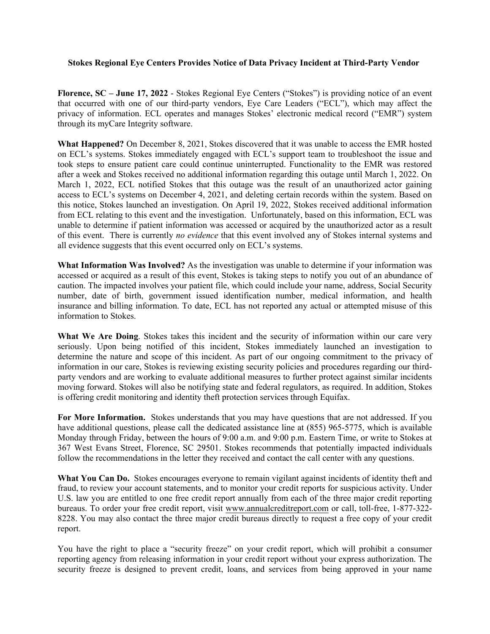## **Stokes Regional Eye Centers Provides Notice of Data Privacy Incident at Third-Party Vendor**

**Florence, SC – June 17, 2022** - Stokes Regional Eye Centers ("Stokes") is providing notice of an event that occurred with one of our third-party vendors, Eye Care Leaders ("ECL"), which may affect the privacy of information. ECL operates and manages Stokes' electronic medical record ("EMR") system through its myCare Integrity software.

**What Happened?** On December 8, 2021, Stokes discovered that it was unable to access the EMR hosted on ECL's systems. Stokes immediately engaged with ECL's support team to troubleshoot the issue and took steps to ensure patient care could continue uninterrupted. Functionality to the EMR was restored after a week and Stokes received no additional information regarding this outage until March 1, 2022. On March 1, 2022, ECL notified Stokes that this outage was the result of an unauthorized actor gaining access to ECL's systems on December 4, 2021, and deleting certain records within the system. Based on this notice, Stokes launched an investigation. On April 19, 2022, Stokes received additional information from ECL relating to this event and the investigation. Unfortunately, based on this information, ECL was unable to determine if patient information was accessed or acquired by the unauthorized actor as a result of this event. There is currently *no evidence* that this event involved any of Stokes internal systems and all evidence suggests that this event occurred only on ECL's systems.

**What Information Was Involved?** As the investigation was unable to determine if your information was accessed or acquired as a result of this event, Stokes is taking steps to notify you out of an abundance of caution. The impacted involves your patient file, which could include your name, address, Social Security number, date of birth, government issued identification number, medical information, and health insurance and billing information. To date, ECL has not reported any actual or attempted misuse of this information to Stokes.

**What We Are Doing**. Stokes takes this incident and the security of information within our care very seriously. Upon being notified of this incident, Stokes immediately launched an investigation to determine the nature and scope of this incident. As part of our ongoing commitment to the privacy of information in our care, Stokes is reviewing existing security policies and procedures regarding our thirdparty vendors and are working to evaluate additional measures to further protect against similar incidents moving forward. Stokes will also be notifying state and federal regulators, as required. In addition, Stokes is offering credit monitoring and identity theft protection services through Equifax.

**For More Information.** Stokes understands that you may have questions that are not addressed. If you have additional questions, please call the dedicated assistance line at (855) 965-5775, which is available Monday through Friday, between the hours of 9:00 a.m. and 9:00 p.m. Eastern Time, or write to Stokes at 367 West Evans Street, Florence, SC 29501. Stokes recommends that potentially impacted individuals follow the recommendations in the letter they received and contact the call center with any questions.

**What You Can Do.** Stokes encourages everyone to remain vigilant against incidents of identity theft and fraud, to review your account statements, and to monitor your credit reports for suspicious activity. Under U.S. law you are entitled to one free credit report annually from each of the three major credit reporting bureaus. To order your free credit report, visit www.annualcreditreport.com or call, toll-free, 1-877-322- 8228. You may also contact the three major credit bureaus directly to request a free copy of your credit report.

You have the right to place a "security freeze" on your credit report, which will prohibit a consumer reporting agency from releasing information in your credit report without your express authorization. The security freeze is designed to prevent credit, loans, and services from being approved in your name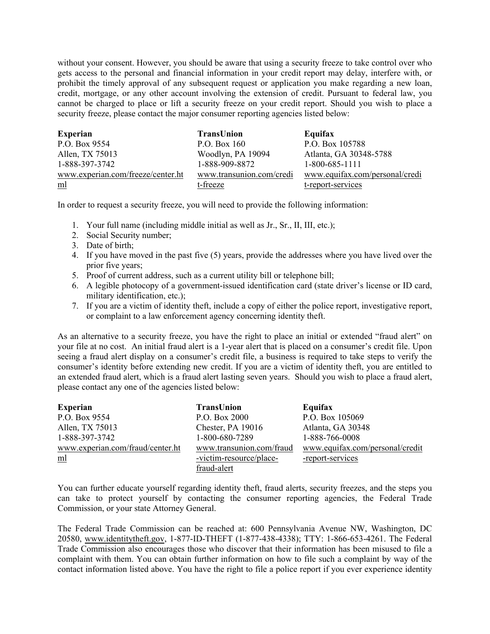without your consent. However, you should be aware that using a security freeze to take control over who gets access to the personal and financial information in your credit report may delay, interfere with, or prohibit the timely approval of any subsequent request or application you make regarding a new loan, credit, mortgage, or any other account involving the extension of credit. Pursuant to federal law, you cannot be charged to place or lift a security freeze on your credit report. Should you wish to place a security freeze, please contact the major consumer reporting agencies listed below:

| <b>Experian</b>                   | TransUnion               | Equifax                        |
|-----------------------------------|--------------------------|--------------------------------|
| P.O. Box 9554                     | P.O. Box 160             | P.O. Box 105788                |
| Allen, TX 75013                   | Woodlyn, PA 19094        | Atlanta, GA 30348-5788         |
| 1-888-397-3742                    | 1-888-909-8872           | 1-800-685-1111                 |
| www.experian.com/freeze/center.ht | www.transunion.com/credi | www.equifax.com/personal/credi |
| $\underline{\underline{m}}$       | t-freeze                 | t-report-services              |

In order to request a security freeze, you will need to provide the following information:

- 1. Your full name (including middle initial as well as Jr., Sr., II, III, etc.);
- 2. Social Security number;
- 3. Date of birth;
- 4. If you have moved in the past five (5) years, provide the addresses where you have lived over the prior five years;
- 5. Proof of current address, such as a current utility bill or telephone bill;
- 6. A legible photocopy of a government-issued identification card (state driver's license or ID card, military identification, etc.);
- 7. If you are a victim of identity theft, include a copy of either the police report, investigative report, or complaint to a law enforcement agency concerning identity theft.

As an alternative to a security freeze, you have the right to place an initial or extended "fraud alert" on your file at no cost. An initial fraud alert is a 1-year alert that is placed on a consumer's credit file. Upon seeing a fraud alert display on a consumer's credit file, a business is required to take steps to verify the consumer's identity before extending new credit. If you are a victim of identity theft, you are entitled to an extended fraud alert, which is a fraud alert lasting seven years. Should you wish to place a fraud alert, please contact any one of the agencies listed below:

| <b>Experian</b>                       | TransUnion               | Equifax                         |
|---------------------------------------|--------------------------|---------------------------------|
| P.O. Box 9554                         | P.O. Box 2000            | P.O. Box 105069                 |
| Allen, TX 75013                       | Chester, PA 19016        | Atlanta, GA 30348               |
| 1-888-397-3742                        | 1-800-680-7289           | 1-888-766-0008                  |
| www.experian.com/fraud/center.ht      | www.transunion.com/fraud | www.equifax.com/personal/credit |
| $\underline{\underline{\mathrm{ml}}}$ | -victim-resource/place-  | -report-services                |
|                                       | fraud-alert              |                                 |

You can further educate yourself regarding identity theft, fraud alerts, security freezes, and the steps you can take to protect yourself by contacting the consumer reporting agencies, the Federal Trade Commission, or your state Attorney General.

The Federal Trade Commission can be reached at: 600 Pennsylvania Avenue NW, Washington, DC 20580, www.identitytheft.gov, 1-877-ID-THEFT (1-877-438-4338); TTY: 1-866-653-4261. The Federal Trade Commission also encourages those who discover that their information has been misused to file a complaint with them. You can obtain further information on how to file such a complaint by way of the contact information listed above. You have the right to file a police report if you ever experience identity